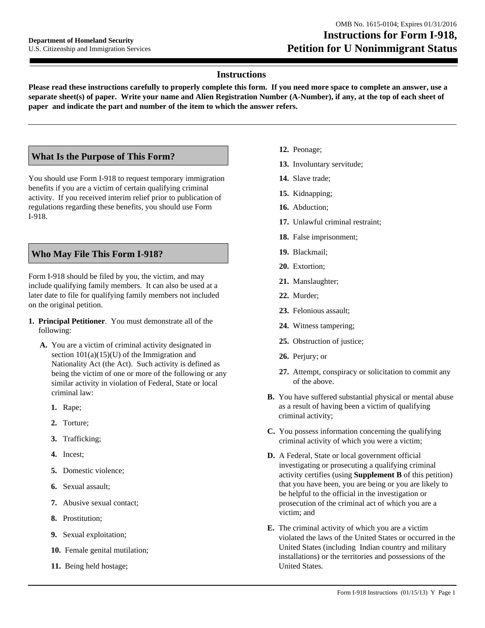# **Instructions**

**Please read these instructions carefully to properly complete this form. If you need more space to complete an answer, use a separate sheet(s) of paper. Write your name and Alien Registration Number (A-Number), if any, at the top of each sheet of paper and indicate the part and number of the item to which the answer refers.**

# **What Is the Purpose of This Form?**

You should use Form I-918 to request temporary immigration benefits if you are a victim of certain qualifying criminal activity. If you received interim relief prior to publication of regulations regarding these benefits, you should use Form I-918.

# **Who May File This Form I-918?**

Form I-918 should be filed by you, the victim, and may include qualifying family members. It can also be used at a later date to file for qualifying family members not included on the original petition.

- **1. Principal Petitioner**. You must demonstrate all of the following:
	- **A.** You are a victim of criminal activity designated in section  $101(a)(15)(U)$  of the Immigration and Nationality Act (the Act). Such activity is defined as being the victim of one or more of the following or any similar activity in violation of Federal, State or local criminal law:
		- **1.** Rape;
		- **2.** Torture;
		- **3.** Trafficking;
		- **4.** Incest;
		- **5.** Domestic violence;
		- **6.** Sexual assault;
		- **7.** Abusive sexual contact;
		- **8.** Prostitution;
		- **9.** Sexual exploitation;
		- **10.** Female genital mutilation;
		- **11.** Being held hostage;
- **12.** Peonage;
- **13.** Involuntary servitude;
- **14.** Slave trade;
- **15.** Kidnapping;
- **16.** Abduction;
- **17.** Unlawful criminal restraint;
- **18.** False imprisonment;
- **19.** Blackmail;
- **20.** Extortion;
- **21.** Manslaughter;
- **22.** Murder;
- **23.** Felonious assault;
- **24.** Witness tampering;
- **25.** Obstruction of justice;
- **26.** Perjury; or
- **27.** Attempt, conspiracy or solicitation to commit any of the above.
- **B.** You have suffered substantial physical or mental abuse as a result of having been a victim of qualifying criminal activity;
- **C.** You possess information concerning the qualifying criminal activity of which you were a victim;
- **D.** A Federal, State or local government official investigating or prosecuting a qualifying criminal activity certifies (using **Supplement B** of this petition) that you have been, you are being or you are likely to be helpful to the official in the investigation or prosecution of the criminal act of which you are a victim; and
- **E.** The criminal activity of which you are a victim violated the laws of the United States or occurred in the United States (including Indian country and military installations) or the territories and possessions of the United States.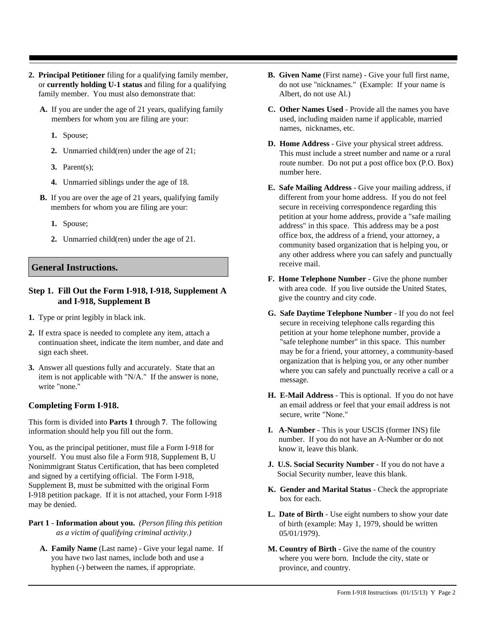- **2. Principal Petitioner** filing for a qualifying family member, or **currently holding U-1 status** and filing for a qualifying family member. You must also demonstrate that:
	- **A.** If you are under the age of 21 years, qualifying family members for whom you are filing are your:
		- **1.** Spouse;
		- **2.** Unmarried child(ren) under the age of 21;
		- **3.** Parent(s);
		- **4.** Unmarried siblings under the age of 18.
	- **B.** If you are over the age of 21 years, qualifying family members for whom you are filing are your:
		- **1.** Spouse;
		- **2.** Unmarried child(ren) under the age of 21.

## **General Instructions.**

### **Step 1. Fill Out the Form I-918, I-918, Supplement A and I-918, Supplement B**

- **1.** Type or print legibly in black ink.
- **2.** If extra space is needed to complete any item, attach a continuation sheet, indicate the item number, and date and sign each sheet.
- **3.** Answer all questions fully and accurately. State that an item is not applicable with "N/A." If the answer is none, write "none."

# **Completing Form I-918.**

This form is divided into **Parts 1** through **7**. The following information should help you fill out the form.

You, as the principal petitioner, must file a Form I-918 for yourself. You must also file a Form 918, Supplement B, U Nonimmigrant Status Certification, that has been completed and signed by a certifying official. The Form I-918, Supplement B, must be submitted with the original Form I-918 petition package. If it is not attached, your Form I-918 may be denied.

### **Part 1 - Information about you.** *(Person filing this petition as a victim of qualifying criminal activity.)*

**A. Family Name** (Last name) - Give your legal name. If you have two last names, include both and use a hyphen (-) between the names, if appropriate.

- **B. Given Name** (First name) Give your full first name, do not use "nicknames." (Example: If your name is Albert, do not use Al.)
- **C. Other Names Used**  Provide all the names you have used, including maiden name if applicable, married names, nicknames, etc.
- **D. Home Address** Give your physical street address. This must include a street number and name or a rural route number. Do not put a post office box (P.O. Box) number here.
- **E. Safe Mailing Address** Give your mailing address, if different from your home address. If you do not feel secure in receiving correspondence regarding this petition at your home address, provide a "safe mailing address" in this space. This address may be a post office box, the address of a friend, your attorney, a community based organization that is helping you, or any other address where you can safely and punctually receive mail.
- **F. Home Telephone Number** Give the phone number with area code. If you live outside the United States, give the country and city code.
- **G. Safe Daytime Telephone Number** If you do not feel secure in receiving telephone calls regarding this petition at your home telephone number, provide a "safe telephone number" in this space. This number may be for a friend, your attorney, a community-based organization that is helping you, or any other number where you can safely and punctually receive a call or a message.
- **H. E-Mail Address** This is optional. If you do not have an email address or feel that your email address is not secure, write "None."
- **I. A-Number** This is your USCIS (former INS) file number. If you do not have an A-Number or do not know it, leave this blank.
- **J. U.S. Social Security Number** If you do not have a Social Security number, leave this blank.
- **K. Gender and Marital Status** Check the appropriate box for each.
- **L. Date of Birth** Use eight numbers to show your date of birth (example: May 1, 1979, should be written 05/01/1979).
- **M. Country of Birth** Give the name of the country where you were born. Include the city, state or province, and country.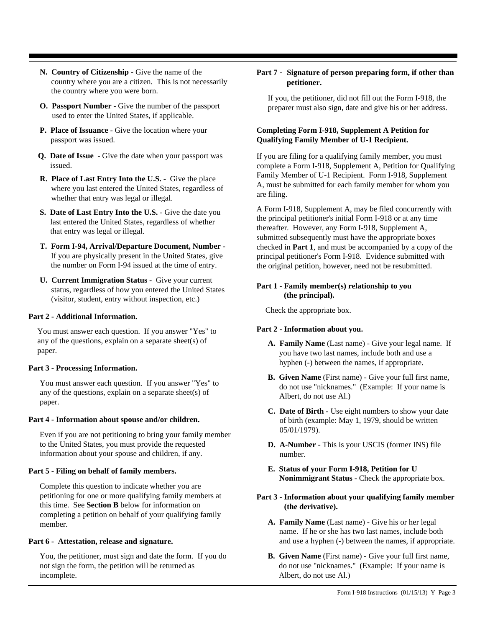- **N. Country of Citizenship** Give the name of the country where you are a citizen. This is not necessarily the country where you were born.
- **O. Passport Number** Give the number of the passport used to enter the United States, if applicable.
- **P. Place of Issuance** Give the location where your passport was issued.
- **Q. Date of Issue**  Give the date when your passport was issued.
- **R. Place of Last Entry Into the U.S.** Give the place where you last entered the United States, regardless of whether that entry was legal or illegal.
- **S. Date of Last Entry Into the U.S.** Give the date you last entered the United States, regardless of whether that entry was legal or illegal.
- **T. Form I-94, Arrival/Departure Document, Number** If you are physically present in the United States, give the number on Form I-94 issued at the time of entry.
- **U. Current Immigration Status** Give your current status, regardless of how you entered the United States (visitor, student, entry without inspection, etc.)

#### **Part 2 - Additional Information.**

You must answer each question. If you answer "Yes" to any of the questions, explain on a separate sheet(s) of paper.

#### **Part 3 - Processing Information.**

You must answer each question. If you answer "Yes" to any of the questions, explain on a separate sheet(s) of paper.

#### **Part 4 - Information about spouse and/or children.**

Even if you are not petitioning to bring your family member to the United States, you must provide the requested information about your spouse and children, if any.

### **Part 5 - Filing on behalf of family members.**

Complete this question to indicate whether you are petitioning for one or more qualifying family members at this time. See **Section B** below for information on completing a petition on behalf of your qualifying family member.

#### **Part 6 - Attestation, release and signature.**

You, the petitioner, must sign and date the form. If you do not sign the form, the petition will be returned as incomplete.

#### **Part 7 - Signature of person preparing form, if other than petitioner.**

If you, the petitioner, did not fill out the Form I-918, the preparer must also sign, date and give his or her address.

### **Completing Form I-918, Supplement A Petition for Qualifying Family Member of U-1 Recipient.**

If you are filing for a qualifying family member, you must complete a Form I-918, Supplement A, Petition for Qualifying Family Member of U-1 Recipient. Form I-918, Supplement A, must be submitted for each family member for whom you are filing.

A Form I-918, Supplement A, may be filed concurrently with the principal petitioner's initial Form I-918 or at any time thereafter. However, any Form I-918, Supplement A, submitted subsequently must have the appropriate boxes checked in **Part 1**, and must be accompanied by a copy of the principal petitioner's Form I-918. Evidence submitted with the original petition, however, need not be resubmitted.

### **Part 1 - Family member(s) relationship to you (the principal).**

Check the appropriate box.

### **Part 2 - Information about you.**

- **A. Family Name** (Last name) Give your legal name. If you have two last names, include both and use a hyphen (-) between the names, if appropriate.
- **B. Given Name** (First name) Give your full first name, do not use "nicknames." (Example: If your name is Albert, do not use Al.)
- **C. Date of Birth** Use eight numbers to show your date of birth (example: May 1, 1979, should be written 05/01/1979).
- **D. A-Number** This is your USCIS (former INS) file number.
- **E. Status of your Form I-918, Petition for U Nonimmigrant Status** - Check the appropriate box.
- **Part 3 Information about your qualifying family member (the derivative).**
	- **A. Family Name** (Last name) Give his or her legal name. If he or she has two last names, include both and use a hyphen (-) between the names, if appropriate.
	- **B. Given Name** (First name) Give your full first name, do not use "nicknames." (Example: If your name is Albert, do not use Al.)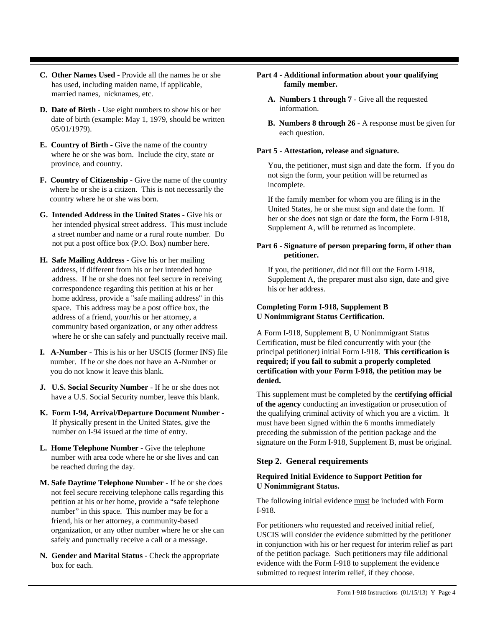- **C. Other Names Used**  Provide all the names he or she has used, including maiden name, if applicable, married names, nicknames, etc.
- **D. Date of Birth** Use eight numbers to show his or her date of birth (example: May 1, 1979, should be written 05/01/1979).
- **E. Country of Birth** Give the name of the country where he or she was born. Include the city, state or province, and country.
- **F. Country of Citizenship** Give the name of the country where he or she is a citizen. This is not necessarily the country where he or she was born.
- **G. Intended Address in the United States** Give his or her intended physical street address. This must include a street number and name or a rural route number. Do not put a post office box (P.O. Box) number here.
- **H. Safe Mailing Address** Give his or her mailing address, if different from his or her intended home address. If he or she does not feel secure in receiving correspondence regarding this petition at his or her home address, provide a "safe mailing address" in this space. This address may be a post office box, the address of a friend, your/his or her attorney, a community based organization, or any other address where he or she can safely and punctually receive mail.
- **I. A-Number** This is his or her USCIS (former INS) file number. If he or she does not have an A-Number or you do not know it leave this blank.
- **J. U.S. Social Security Number** If he or she does not have a U.S. Social Security number, leave this blank.
- **K. Form I-94, Arrival/Departure Document Number** If physically present in the United States, give the number on I-94 issued at the time of entry.
- **L. Home Telephone Number** Give the telephone number with area code where he or she lives and can be reached during the day.
- **M. Safe Daytime Telephone Number** If he or she does not feel secure receiving telephone calls regarding this petition at his or her home, provide a "safe telephone number" in this space. This number may be for a friend, his or her attorney, a community-based organization, or any other number where he or she can safely and punctually receive a call or a message.
- **N. Gender and Marital Status** Check the appropriate box for each.
- **Part 4 Additional information about your qualifying family member.**
	- **A. Numbers 1 through 7** Give all the requested information.
	- **B. Numbers 8 through 26** A response must be given for each question.

#### **Part 5 - Attestation, release and signature.**

You, the petitioner, must sign and date the form. If you do not sign the form, your petition will be returned as incomplete.

If the family member for whom you are filing is in the United States, he or she must sign and date the form. If her or she does not sign or date the form, the Form I-918, Supplement A, will be returned as incomplete.

### **Part 6 - Signature of person preparing form, if other than petitioner.**

If you, the petitioner, did not fill out the Form I-918, Supplement A, the preparer must also sign, date and give his or her address.

### **Completing Form I-918, Supplement B U Nonimmigrant Status Certification.**

A Form I-918, Supplement B, U Nonimmigrant Status Certification, must be filed concurrently with your (the principal petitioner) initial Form I-918. **This certification is required; if you fail to submit a properly completed certification with your Form I-918, the petition may be denied.**

This supplement must be completed by the **certifying official of the agency** conducting an investigation or prosecution of the qualifying criminal activity of which you are a victim. It must have been signed within the 6 months immediately preceding the submission of the petition package and the signature on the Form I-918, Supplement B, must be original.

## **Step 2. General requirements**

### **Required Initial Evidence to Support Petition for U Nonimmigrant Status.**

The following initial evidence must be included with Form I-918.

For petitioners who requested and received initial relief, USCIS will consider the evidence submitted by the petitioner in conjunction with his or her request for interim relief as part of the petition package. Such petitioners may file additional evidence with the Form I-918 to supplement the evidence submitted to request interim relief, if they choose.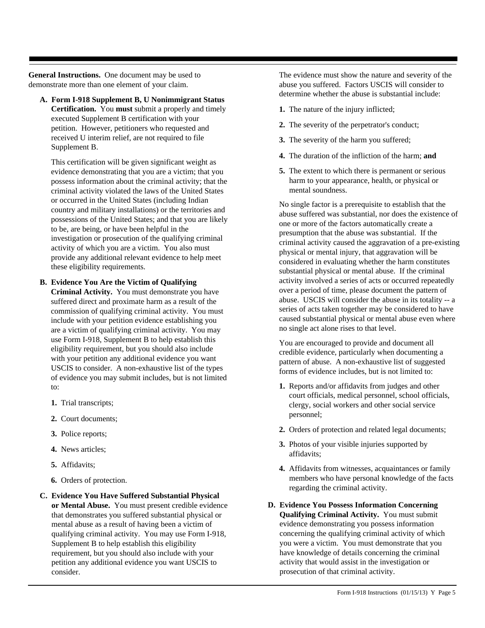**General Instructions.** One document may be used to demonstrate more than one element of your claim.

**A. Form I-918 Supplement B, U Nonimmigrant Status** 

**Certification.** You **must** submit a properly and timely executed Supplement B certification with your petition. However, petitioners who requested and received U interim relief, are not required to file Supplement B.

This certification will be given significant weight as evidence demonstrating that you are a victim; that you possess information about the criminal activity; that the criminal activity violated the laws of the United States or occurred in the United States (including Indian country and military installations) or the territories and possessions of the United States; and that you are likely to be, are being, or have been helpful in the investigation or prosecution of the qualifying criminal activity of which you are a victim. You also must provide any additional relevant evidence to help meet these eligibility requirements.

#### **B. Evidence You Are the Victim of Qualifying**

**Criminal Activity.** You must demonstrate you have suffered direct and proximate harm as a result of the commission of qualifying criminal activity. You must include with your petition evidence establishing you are a victim of qualifying criminal activity. You may use Form I-918, Supplement B to help establish this eligibility requirement, but you should also include with your petition any additional evidence you want USCIS to consider. A non-exhaustive list of the types of evidence you may submit includes, but is not limited to:

- **1.** Trial transcripts;
- **2.** Court documents;
- **3.** Police reports;
- **4.** News articles;
- **5.** Affidavits;
- **6.** Orders of protection.
- **C. Evidence You Have Suffered Substantial Physical or Mental Abuse.** You must present credible evidence that demonstrates you suffered substantial physical or mental abuse as a result of having been a victim of qualifying criminal activity. You may use Form I-918, Supplement B to help establish this eligibility requirement, but you should also include with your petition any additional evidence you want USCIS to consider.

The evidence must show the nature and severity of the abuse you suffered. Factors USCIS will consider to determine whether the abuse is substantial include:

- **1.** The nature of the injury inflicted;
- **2.** The severity of the perpetrator's conduct;
- **3.** The severity of the harm you suffered;
- **4.** The duration of the infliction of the harm; **and**
- **5.** The extent to which there is permanent or serious harm to your appearance, health, or physical or mental soundness.

No single factor is a prerequisite to establish that the abuse suffered was substantial, nor does the existence of one or more of the factors automatically create a presumption that the abuse was substantial. If the criminal activity caused the aggravation of a pre-existing physical or mental injury, that aggravation will be considered in evaluating whether the harm constitutes substantial physical or mental abuse. If the criminal activity involved a series of acts or occurred repeatedly over a period of time, please document the pattern of abuse. USCIS will consider the abuse in its totality -- a series of acts taken together may be considered to have caused substantial physical or mental abuse even where no single act alone rises to that level.

You are encouraged to provide and document all credible evidence, particularly when documenting a pattern of abuse. A non-exhaustive list of suggested forms of evidence includes, but is not limited to:

- **1.** Reports and/or affidavits from judges and other court officials, medical personnel, school officials, clergy, social workers and other social service personnel;
- **2.** Orders of protection and related legal documents;
- **3.** Photos of your visible injuries supported by affidavits;
- **4.** Affidavits from witnesses, acquaintances or family members who have personal knowledge of the facts regarding the criminal activity.
- **D. Evidence You Possess Information Concerning Qualifying Criminal Activity.** You must submit evidence demonstrating you possess information concerning the qualifying criminal activity of which you were a victim. You must demonstrate that you have knowledge of details concerning the criminal activity that would assist in the investigation or prosecution of that criminal activity.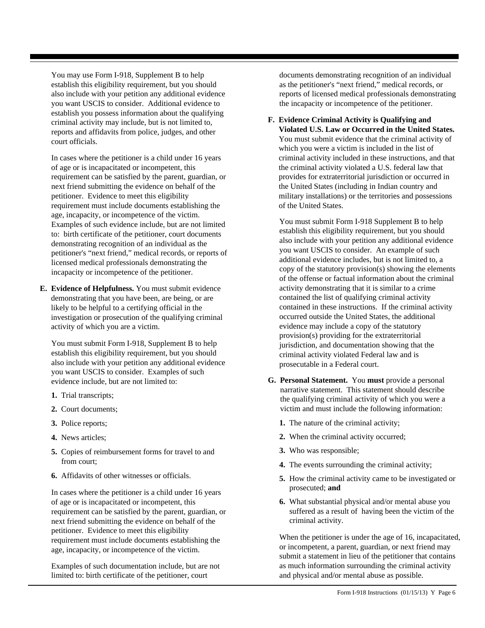You may use Form I-918, Supplement B to help establish this eligibility requirement, but you should also include with your petition any additional evidence you want USCIS to consider. Additional evidence to establish you possess information about the qualifying criminal activity may include, but is not limited to, reports and affidavits from police, judges, and other court officials.

In cases where the petitioner is a child under 16 years of age or is incapacitated or incompetent, this requirement can be satisfied by the parent, guardian, or next friend submitting the evidence on behalf of the petitioner. Evidence to meet this eligibility requirement must include documents establishing the age, incapacity, or incompetence of the victim. Examples of such evidence include, but are not limited to: birth certificate of the petitioner, court documents demonstrating recognition of an individual as the petitioner's "next friend," medical records, or reports of licensed medical professionals demonstrating the incapacity or incompetence of the petitioner.

**E. Evidence of Helpfulness.** You must submit evidence demonstrating that you have been, are being, or are likely to be helpful to a certifying official in the investigation or prosecution of the qualifying criminal activity of which you are a victim.

You must submit Form I-918, Supplement B to help establish this eligibility requirement, but you should also include with your petition any additional evidence you want USCIS to consider. Examples of such evidence include, but are not limited to:

- **1.** Trial transcripts;
- **2.** Court documents;
- **3.** Police reports;
- **4.** News articles;
- **5.** Copies of reimbursement forms for travel to and from court;
- **6.** Affidavits of other witnesses or officials.

In cases where the petitioner is a child under 16 years of age or is incapacitated or incompetent, this requirement can be satisfied by the parent, guardian, or next friend submitting the evidence on behalf of the petitioner. Evidence to meet this eligibility requirement must include documents establishing the age, incapacity, or incompetence of the victim.

Examples of such documentation include, but are not limited to: birth certificate of the petitioner, court

documents demonstrating recognition of an individual as the petitioner's "next friend," medical records, or reports of licensed medical professionals demonstrating the incapacity or incompetence of the petitioner.

**F. Evidence Criminal Activity is Qualifying and Violated U.S. Law or Occurred in the United States.** You must submit evidence that the criminal activity of which you were a victim is included in the list of criminal activity included in these instructions, and that the criminal activity violated a U.S. federal law that provides for extraterritorial jurisdiction or occurred in the United States (including in Indian country and military installations) or the territories and possessions of the United States.

You must submit Form I-918 Supplement B to help establish this eligibility requirement, but you should also include with your petition any additional evidence you want USCIS to consider. An example of such additional evidence includes, but is not limited to, a copy of the statutory provision(s) showing the elements of the offense or factual information about the criminal activity demonstrating that it is similar to a crime contained the list of qualifying criminal activity contained in these instructions. If the criminal activity occurred outside the United States, the additional evidence may include a copy of the statutory provision(s) providing for the extraterritorial jurisdiction, and documentation showing that the criminal activity violated Federal law and is prosecutable in a Federal court.

- **G. Personal Statement.** You **must** provide a personal narrative statement. This statement should describe the qualifying criminal activity of which you were a victim and must include the following information:
	- **1.** The nature of the criminal activity;
	- **2.** When the criminal activity occurred;
	- **3.** Who was responsible;
	- **4.** The events surrounding the criminal activity;
	- **5.** How the criminal activity came to be investigated or prosecuted; **and**
	- **6.** What substantial physical and/or mental abuse you suffered as a result of having been the victim of the criminal activity.

When the petitioner is under the age of 16, incapacitated, or incompetent, a parent, guardian, or next friend may submit a statement in lieu of the petitioner that contains as much information surrounding the criminal activity and physical and/or mental abuse as possible.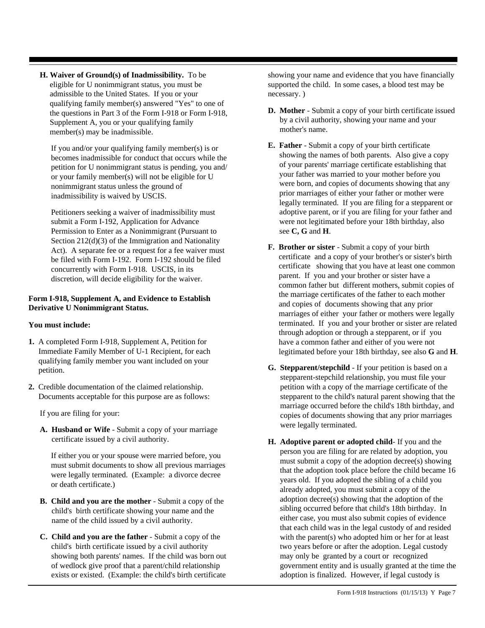**H. Waiver of Ground(s) of Inadmissibility.** To be eligible for U nonimmigrant status, you must be admissible to the United States. If you or your qualifying family member(s) answered "Yes" to one of the questions in Part 3 of the Form I-918 or Form I-918, Supplement A, you or your qualifying family member(s) may be inadmissible.

If you and/or your qualifying family member(s) is or becomes inadmissible for conduct that occurs while the petition for U nonimmigrant status is pending, you and/ or your family member(s) will not be eligible for U nonimmigrant status unless the ground of inadmissibility is waived by USCIS.

Petitioners seeking a waiver of inadmissibility must submit a Form I-192, Application for Advance Permission to Enter as a Nonimmigrant (Pursuant to Section 212(d)(3) of the Immigration and Nationality Act). A separate fee or a request for a fee waiver must be filed with Form I-192. Form I-192 should be filed concurrently with Form I-918. USCIS, in its discretion, will decide eligibility for the waiver.

### **Form I-918, Supplement A, and Evidence to Establish Derivative U Nonimmigrant Status.**

## **You must include:**

- **1.** A completed Form I-918, Supplement A, Petition for Immediate Family Member of U-1 Recipient, for each qualifying family member you want included on your petition.
- **2.** Credible documentation of the claimed relationship. Documents acceptable for this purpose are as follows:

If you are filing for your:

**A. Husband or Wife** - Submit a copy of your marriage certificate issued by a civil authority.

If either you or your spouse were married before, you must submit documents to show all previous marriages were legally terminated. (Example: a divorce decree or death certificate.)

- **B. Child and you are the mother**  Submit a copy of the child's birth certificate showing your name and the name of the child issued by a civil authority.
- **C. Child and you are the father**  Submit a copy of the child's birth certificate issued by a civil authority showing both parents' names. If the child was born out of wedlock give proof that a parent/child relationship exists or existed. (Example: the child's birth certificate

showing your name and evidence that you have financially supported the child. In some cases, a blood test may be necessary. )

- **D. Mother**  Submit a copy of your birth certificate issued by a civil authority, showing your name and your mother's name.
- **E. Father**  Submit a copy of your birth certificate showing the names of both parents. Also give a copy of your parents' marriage certificate establishing that your father was married to your mother before you were born, and copies of documents showing that any prior marriages of either your father or mother were legally terminated. If you are filing for a stepparent or adoptive parent, or if you are filing for your father and were not legitimated before your 18th birthday, also see **C, G** and **H**.
- **F. Brother or sister** Submit a copy of your birth certificate and a copy of your brother's or sister's birth certificate showing that you have at least one common parent. If you and your brother or sister have a common father but different mothers, submit copies of the marriage certificates of the father to each mother and copies of documents showing that any prior marriages of either your father or mothers were legally terminated. If you and your brother or sister are related through adoption or through a stepparent, or if you have a common father and either of you were not legitimated before your 18th birthday, see also **G** and **H**.
- **G. Stepparent/stepchild**  If your petition is based on a stepparent-stepchild relationship, you must file your petition with a copy of the marriage certificate of the stepparent to the child's natural parent showing that the marriage occurred before the child's 18th birthday, and copies of documents showing that any prior marriages were legally terminated.
- **H. Adoptive parent or adopted child** If you and the person you are filing for are related by adoption, you must submit a copy of the adoption decree(s) showing that the adoption took place before the child became 16 years old. If you adopted the sibling of a child you already adopted, you must submit a copy of the adoption decree(s) showing that the adoption of the sibling occurred before that child's 18th birthday. In either case, you must also submit copies of evidence that each child was in the legal custody of and resided with the parent(s) who adopted him or her for at least two years before or after the adoption. Legal custody may only be granted by a court or recognized government entity and is usually granted at the time the adoption is finalized. However, if legal custody is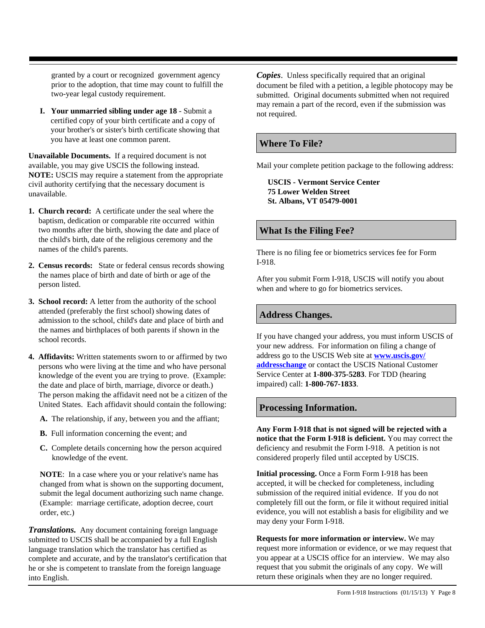granted by a court or recognized government agency prior to the adoption, that time may count to fulfill the two-year legal custody requirement.

**I. Your unmarried sibling under age 18** - Submit a certified copy of your birth certificate and a copy of your brother's or sister's birth certificate showing that you have at least one common parent.

**Unavailable Documents.** If a required document is not available, you may give USCIS the following instead. **NOTE:** USCIS may require a statement from the appropriate civil authority certifying that the necessary document is unavailable.

- **1. Church record:** A certificate under the seal where the baptism, dedication or comparable rite occurred within two months after the birth, showing the date and place of the child's birth, date of the religious ceremony and the names of the child's parents.
- **2. Census records:** State or federal census records showing the names place of birth and date of birth or age of the person listed.
- **3. School record:** A letter from the authority of the school attended (preferably the first school) showing dates of admission to the school, child's date and place of birth and the names and birthplaces of both parents if shown in the school records.
- **4. Affidavits:** Written statements sworn to or affirmed by two persons who were living at the time and who have personal knowledge of the event you are trying to prove. (Example: the date and place of birth, marriage, divorce or death.) The person making the affidavit need not be a citizen of the United States. Each affidavit should contain the following:
	- **A.** The relationship, if any, between you and the affiant;
	- **B.** Full information concerning the event; and
	- **C.** Complete details concerning how the person acquired knowledge of the event.

**NOTE**: In a case where you or your relative's name has changed from what is shown on the supporting document, submit the legal document authorizing such name change. (Example: marriage certificate, adoption decree, court order, etc.)

*Translations.* Any document containing foreign language submitted to USCIS shall be accompanied by a full English language translation which the translator has certified as complete and accurate, and by the translator's certification that he or she is competent to translate from the foreign language into English.

*Copies*. Unless specifically required that an original document be filed with a petition, a legible photocopy may be submitted. Original documents submitted when not required may remain a part of the record, even if the submission was not required.

# **Where To File?**

Mail your complete petition package to the following address:

**USCIS - Vermont Service Center 75 Lower Welden Street St. Albans, VT 05479-0001**

## **What Is the Filing Fee?**

There is no filing fee or biometrics services fee for Form I-918.

After you submit Form I-918, USCIS will notify you about when and where to go for biometrics services.

## **Address Changes.**

If you have changed your address, you must inform USCIS of your new address. For information on filing a change of address go to the USCIS Web site at **[www.uscis.gov/](http://www.uscis.gov/addresschange) [addresschange](http://www.uscis.gov/addresschange)** or contact the USCIS National Customer Service Center at **1-800-375-5283**. For TDD (hearing impaired) call: **1-800-767-1833**.

# **Processing Information.**

**Any Form I-918 that is not signed will be rejected with a notice that the Form I-918 is deficient.** You may correct the deficiency and resubmit the Form I-918. A petition is not considered properly filed until accepted by USCIS.

**Initial processing.** Once a Form Form I-918 has been accepted, it will be checked for completeness, including submission of the required initial evidence. If you do not completely fill out the form, or file it without required initial evidence, you will not establish a basis for eligibility and we may deny your Form I-918.

**Requests for more information or interview.** We may request more information or evidence, or we may request that you appear at a USCIS office for an interview. We may also request that you submit the originals of any copy. We will return these originals when they are no longer required.